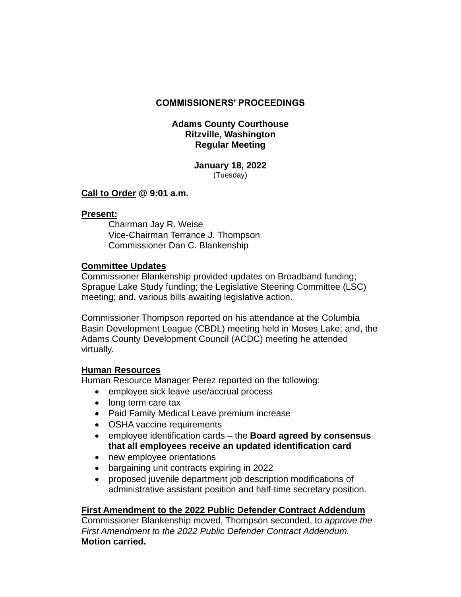# **COMMISSIONERS' PROCEEDINGS**

## **Adams County Courthouse Ritzville, Washington Regular Meeting**

#### **January 18, 2022** (Tuesday)

# **Call to Order @ 9:01 a.m.**

## **Present:**

Chairman Jay R. Weise Vice-Chairman Terrance J. Thompson Commissioner Dan C. Blankenship

# **Committee Updates**

Commissioner Blankenship provided updates on Broadband funding; Sprague Lake Study funding; the Legislative Steering Committee (LSC) meeting; and, various bills awaiting legislative action.

Commissioner Thompson reported on his attendance at the Columbia Basin Development League (CBDL) meeting held in Moses Lake; and, the Adams County Development Council (ACDC) meeting he attended virtually.

# **Human Resources**

Human Resource Manager Perez reported on the following:

- employee sick leave use/accrual process
- long term care tax
- Paid Family Medical Leave premium increase
- OSHA vaccine requirements
- employee identification cards the **Board agreed by consensus that all employees receive an updated identification card**
- new employee orientations
- bargaining unit contracts expiring in 2022
- proposed juvenile department job description modifications of administrative assistant position and half-time secretary position.

# **First Amendment to the 2022 Public Defender Contract Addendum**

Commissioner Blankenship moved, Thompson seconded, to *approve the First Amendment to the 2022 Public Defender Contract Addendum.*  **Motion carried.**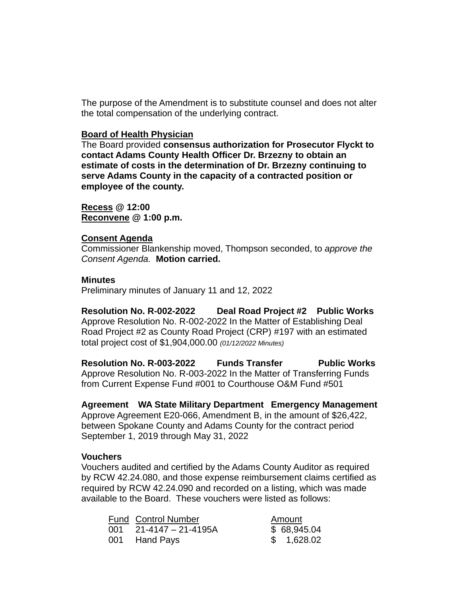The purpose of the Amendment is to substitute counsel and does not alter the total compensation of the underlying contract.

### **Board of Health Physician**

The Board provided **consensus authorization for Prosecutor Flyckt to contact Adams County Health Officer Dr. Brzezny to obtain an estimate of costs in the determination of Dr. Brzezny continuing to serve Adams County in the capacity of a contracted position or employee of the county.**

**Recess @ 12:00 Reconvene @ 1:00 p.m.**

### **Consent Agenda**

Commissioner Blankenship moved, Thompson seconded, to *approve the Consent Agenda.* **Motion carried.**

### **Minutes**

Preliminary minutes of January 11 and 12, 2022

**Resolution No. R-002-2022 Deal Road Project #2 Public Works** Approve Resolution No. R-002-2022 In the Matter of Establishing Deal Road Project #2 as County Road Project (CRP) #197 with an estimated total project cost of \$1,904,000.00 *(01/12/2022 Minutes)*

**Resolution No. R-003-2022 Funds Transfer Public Works** Approve Resolution No. R-003-2022 In the Matter of Transferring Funds from Current Expense Fund #001 to Courthouse O&M Fund #501

**Agreement WA State Military Department Emergency Management** Approve Agreement E20-066, Amendment B, in the amount of \$26,422, between Spokane County and Adams County for the contract period September 1, 2019 through May 31, 2022

## **Vouchers**

Vouchers audited and certified by the Adams County Auditor as required by RCW 42.24.080, and those expense reimbursement claims certified as required by RCW 42.24.090 and recorded on a listing, which was made available to the Board. These vouchers were listed as follows:

|     | <b>Fund Control Number</b> | Amount      |
|-----|----------------------------|-------------|
| 001 | 21-4147 – 21-4195A         | \$68,945.04 |
|     | 001 Hand Pays              | \$1,628.02  |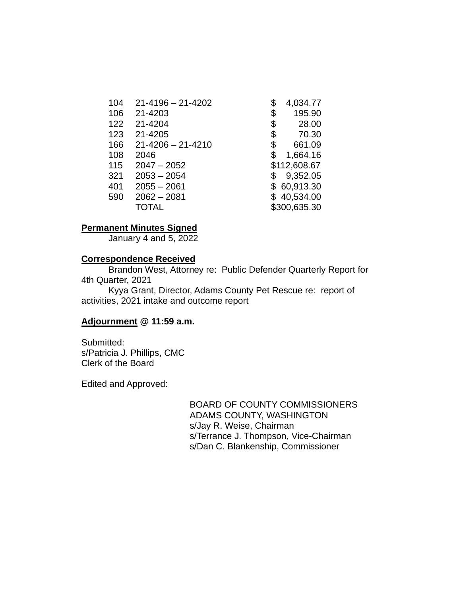| 104 | $21 - 4196 - 21 - 4202$ | 4,034.77      |
|-----|-------------------------|---------------|
| 106 | 21-4203                 | 195.90<br>\$  |
| 122 | 21-4204                 | 28.00<br>\$   |
| 123 | 21-4205                 | \$<br>70.30   |
| 166 | $21 - 4206 - 21 - 4210$ | \$<br>661.09  |
| 108 | 2046                    | 1,664.16<br>S |
| 115 | $2047 - 2052$           | \$112,608.67  |
| 321 | $2053 - 2054$           | 9,352.05<br>S |
| 401 | $2055 - 2061$           | \$60,913.30   |
| 590 | $2062 - 2081$           | \$40,534.00   |
|     | <b>TOTAL</b>            | \$300,635.30  |

## **Permanent Minutes Signed**

January 4 and 5, 2022

### **Correspondence Received**

Brandon West, Attorney re: Public Defender Quarterly Report for 4th Quarter, 2021

Kyya Grant, Director, Adams County Pet Rescue re: report of activities, 2021 intake and outcome report

## **Adjournment @ 11:59 a.m.**

Submitted: s/Patricia J. Phillips, CMC Clerk of the Board

Edited and Approved:

BOARD OF COUNTY COMMISSIONERS ADAMS COUNTY, WASHINGTON s/Jay R. Weise, Chairman s/Terrance J. Thompson, Vice-Chairman s/Dan C. Blankenship, Commissioner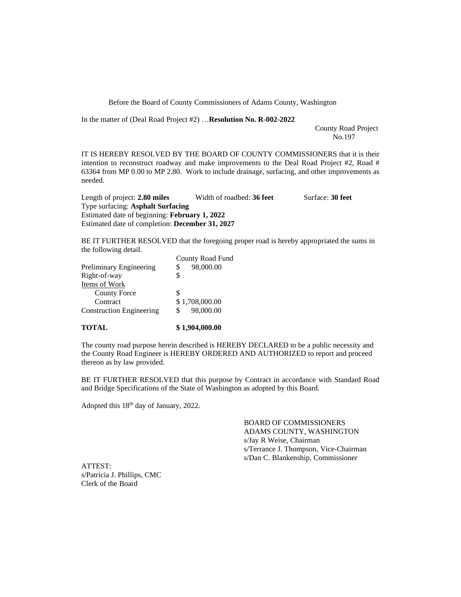Before the Board of County Commissioners of Adams County, Washington

In the matter of (Deal Road Project #2) …**Resolution No. R-002-2022**

 County Road Project No.197

IT IS HEREBY RESOLVED BY THE BOARD OF COUNTY COMMISSIONERS that it is their intention to reconstruct roadway and make improvements to the Deal Road Project #2, Road # 63364 from MP 0.00 to MP 2.80. Work to include drainage, surfacing, and other improvements as needed.

Length of project: 2.80 miles Width of roadbed: 36 feet Surface: 30 feet Type surfacing: **Asphalt Surfacing**  Estimated date of beginning: **February 1, 2022** Estimated date of completion: **December 31, 2027**

BE IT FURTHER RESOLVED that the foregoing proper road is hereby appropriated the sums in the following detail.

| $\frac{1}{2}$                   |                  |
|---------------------------------|------------------|
|                                 | County Road Fund |
| Preliminary Engineering         | 98,000.00        |
| Right-of-way                    |                  |
| Items of Work                   |                  |
| <b>County Force</b>             |                  |
| Contract                        | \$1,708,000.00   |
| <b>Construction Engineering</b> | 98,000.00        |
|                                 |                  |

#### **TOTAL \$ 1,904,000.00**

The county road purpose herein described is HEREBY DECLARED to be a public necessity and the County Road Engineer is HEREBY ORDERED AND AUTHORIZED to report and proceed thereon as by law provided.

BE IT FURTHER RESOLVED that this purpose by Contract in accordance with Standard Road and Bridge Specifications of the State of Washington as adopted by this Board.

Adopted this 18<sup>th</sup> day of January, 2022.

BOARD OF COMMISSIONERS ADAMS COUNTY, WASHINGTON s/Jay R Weise, Chairman s/Terrance J. Thompson, Vice-Chairman s/Dan C. Blankenship, Commissioner

ATTEST: s/Patricia J. Phillips, CMC Clerk of the Board